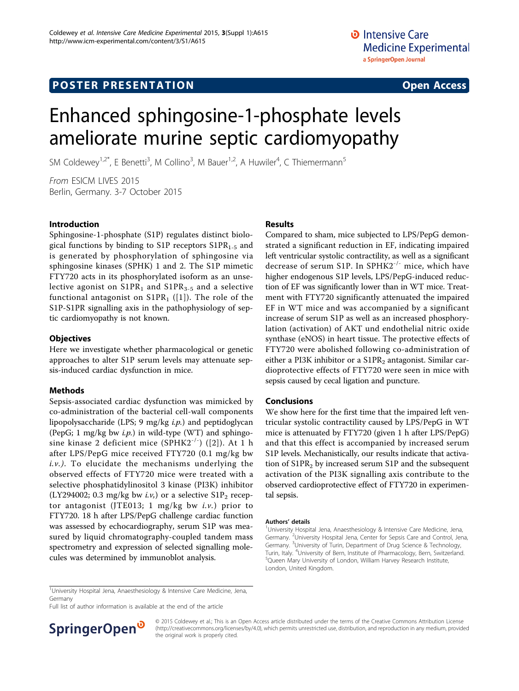# **POSTER PRESENTATION CONSUMING THE SERVICE SERVICE SERVICES**

# Enhanced sphingosine-1-phosphate levels ameliorate murine septic cardiomyopathy

SM Coldewey<sup>1,2\*</sup>, E Benetti<sup>3</sup>, M Collino<sup>3</sup>, M Bauer<sup>1,2</sup>, A Huwiler<sup>4</sup>, C Thiemermann<sup>5</sup>

From ESICM LIVES 2015 Berlin, Germany. 3-7 October 2015

## Introduction

Sphingosine-1-phosphate (S1P) regulates distinct biological functions by binding to S1P receptors  $S1PR_{1-5}$  and is generated by phosphorylation of sphingosine via sphingosine kinases (SPHK) 1 and 2. The S1P mimetic FTY720 acts in its phosphorylated isoform as an unselective agonist on  $S1PR_1$  and  $S1PR_{3-5}$  and a selective functional antagonist on  $S1PR<sub>1</sub>$  ([[1\]](#page-1-0)). The role of the S1P-S1PR signalling axis in the pathophysiology of septic cardiomyopathy is not known.

#### **Objectives**

Here we investigate whether pharmacological or genetic approaches to alter S1P serum levels may attenuate sepsis-induced cardiac dysfunction in mice.

## Methods

Sepsis-associated cardiac dysfunction was mimicked by co-administration of the bacterial cell-wall components lipopolysaccharide (LPS;  $9 \text{ mg/kg } i.p.$ ) and peptidoglycan (PepG; 1 mg/kg bw *i.p.*) in wild-type (WT) and sphingosine kinase 2 deficient mice  $(SPHK2^{-/-})$  ([[2\]](#page-1-0)). At 1 h after LPS/PepG mice received FTY720 (0.1 mg/kg bw  $i.v.$ ). To elucidate the mechanisms underlying the observed effects of FTY720 mice were treated with a selective phosphatidylinositol 3 kinase (PI3K) inhibitor (LY294002; 0.3 mg/kg bw  $i.\nu$ ,) or a selective S1P<sub>2</sub> receptor antagonist (JTE013; 1 mg/kg bw  $i.v.$ ) prior to FTY720. 18 h after LPS/PepG challenge cardiac function was assessed by echocardiography, serum S1P was measured by liquid chromatography-coupled tandem mass spectrometry and expression of selected signalling molecules was determined by immunoblot analysis.

## Results

Compared to sham, mice subjected to LPS/PepG demonstrated a significant reduction in EF, indicating impaired left ventricular systolic contractility, as well as a significant decrease of serum S1P. In SPHK2 $^{-/-}$  mice, which have higher endogenous S1P levels, LPS/PepG-induced reduction of EF was significantly lower than in WT mice. Treatment with FTY720 significantly attenuated the impaired EF in WT mice and was accompanied by a significant increase of serum S1P as well as an increased phosphorylation (activation) of AKT und endothelial nitric oxide synthase (eNOS) in heart tissue. The protective effects of FTY720 were abolished following co-administration of either a PI3K inhibitor or a  $S1PR<sub>2</sub>$  antagonist. Similar cardioprotective effects of FTY720 were seen in mice with sepsis caused by cecal ligation and puncture.

## Conclusions

We show here for the first time that the impaired left ventricular systolic contractility caused by LPS/PepG in WT mice is attenuated by FTY720 (given 1 h after LPS/PepG) and that this effect is accompanied by increased serum S1P levels. Mechanistically, our results indicate that activation of  $S1PR<sub>2</sub>$  by increased serum  $S1P$  and the subsequent activation of the PI3K signalling axis contribute to the observed cardioprotective effect of FTY720 in experimental sepsis.

#### Authors' details <sup>1</sup>

<sup>1</sup>University Hospital Jena, Anaesthesiology & Intensive Care Medicine, Jena, Germany. <sup>2</sup>University Hospital Jena, Center for Sepsis Care and Control, Jena Germany. <sup>3</sup>University of Turin, Department of Drug Science & Technology Turin, Italy. <sup>4</sup> University of Bern, Institute of Pharmacology, Bern, Switzerland. <sup>5</sup> Queen Mary University of London, William Harvey Research Institute, London, United Kingdom.

<sup>1</sup>University Hospital Jena, Anaesthesiology & Intensive Care Medicine, Jena, Germany

Full list of author information is available at the end of the article



© 2015 Coldewey et al.; This is an Open Access article distributed under the terms of the Creative Commons Attribution License [\(http://creativecommons.org/licenses/by/4.0](http://creativecommons.org/licenses/by/4.0)), which permits unrestricted use, distribution, and reproduction in any medium, provided the original work is properly cited.